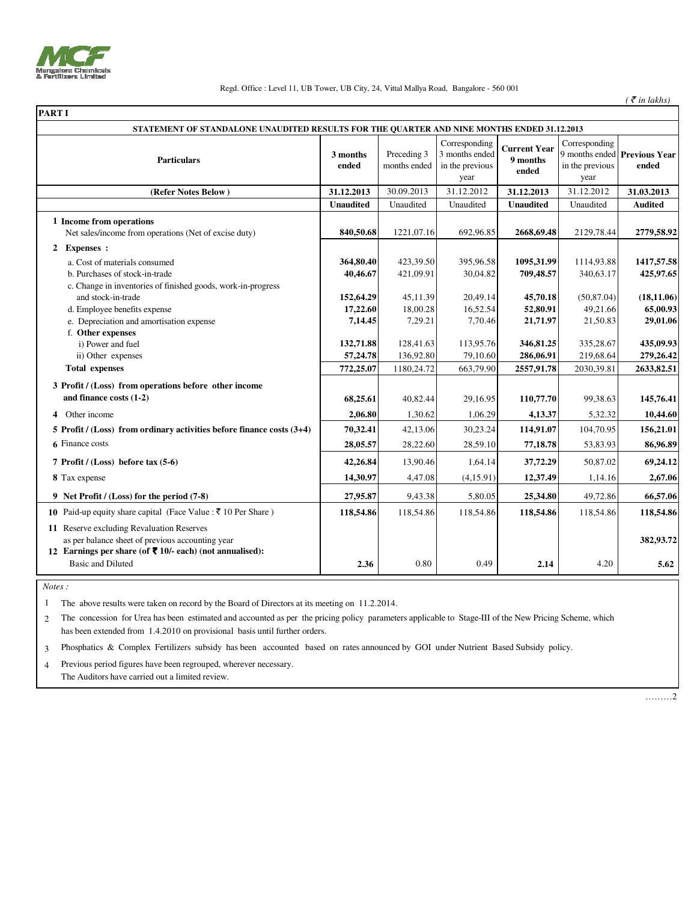

## Regd. Office : Level 11, UB Tower, UB City, 24, Vittal Mallya Road, Bangalore - 560 001

 $($   $\bar{\mathcal{F}}$  *in lakhs* $)$ 

| <b>PART I</b>                                                                                                                                                               |                   |                             |                                                            |                                          |                                          |                                       |
|-----------------------------------------------------------------------------------------------------------------------------------------------------------------------------|-------------------|-----------------------------|------------------------------------------------------------|------------------------------------------|------------------------------------------|---------------------------------------|
| STATEMENT OF STANDALONE UNAUDITED RESULTS FOR THE QUARTER AND NINE MONTHS ENDED 31.12.2013                                                                                  |                   |                             |                                                            |                                          |                                          |                                       |
| <b>Particulars</b>                                                                                                                                                          | 3 months<br>ended | Preceding 3<br>months ended | Corresponding<br>3 months ended<br>in the previous<br>year | <b>Current Year</b><br>9 months<br>ended | Corresponding<br>in the previous<br>year | 9 months ended Previous Year<br>ended |
| (Refer Notes Below)                                                                                                                                                         | 31.12.2013        | 30.09.2013                  | 31.12.2012                                                 | 31.12.2013                               | 31.12.2012                               | 31.03.2013                            |
|                                                                                                                                                                             | <b>Unaudited</b>  | Unaudited                   | Unaudited                                                  | <b>Unaudited</b>                         | Unaudited                                | <b>Audited</b>                        |
| 1 Income from operations<br>Net sales/income from operations (Net of excise duty)                                                                                           | 840,50.68         | 1221,07.16                  | 692,96.85                                                  | 2668,69.48                               | 2129,78.44                               | 2779,58.92                            |
| 2 Expenses :                                                                                                                                                                |                   |                             |                                                            |                                          |                                          |                                       |
| a. Cost of materials consumed                                                                                                                                               | 364,80.40         | 423,39.50                   | 395,96.58                                                  | 1095,31.99                               | 1114,93.88                               | 1417,57.58                            |
| b. Purchases of stock-in-trade                                                                                                                                              | 40,46.67          | 421,09.91                   | 30,04.82                                                   | 709,48.57                                | 340,63.17                                | 425,97.65                             |
| c. Change in inventories of finished goods, work-in-progress<br>and stock-in-trade                                                                                          | 152,64.29         | 45,11.39                    | 20,49.14                                                   | 45,70.18                                 | (50, 87.04)                              | (18, 11.06)                           |
| d. Employee benefits expense                                                                                                                                                | 17,22.60          | 18,00.28                    | 16,52.54                                                   | 52,80.91                                 | 49,21.66                                 | 65,00.93                              |
| e. Depreciation and amortisation expense                                                                                                                                    | 7,14.45           | 7,29.21                     | 7,70.46                                                    | 21,71.97                                 | 21,50.83                                 | 29,01.06                              |
| f. Other expenses                                                                                                                                                           |                   |                             |                                                            |                                          |                                          |                                       |
| i) Power and fuel                                                                                                                                                           | 132,71.88         | 128,41.63                   | 113,95.76                                                  | 346,81.25                                | 335,28.67                                | 435,09.93                             |
| ii) Other expenses                                                                                                                                                          | 57,24.78          | 136,92.80                   | 79,10.60                                                   | 286,06.91                                | 219,68.64                                | 279,26.42                             |
| <b>Total expenses</b>                                                                                                                                                       | 772,25.07         | 1180,24.72                  | 663,79.90                                                  | 2557,91.78                               | 2030,39.81                               | 2633,82.51                            |
| 3 Profit / (Loss) from operations before other income                                                                                                                       |                   |                             |                                                            |                                          |                                          |                                       |
| and finance costs (1-2)                                                                                                                                                     | 68,25.61          | 40,82.44                    | 29,16.95                                                   | 110,77.70                                | 99,38.63                                 | 145,76.41                             |
| 4 Other income                                                                                                                                                              | 2,06.80           | 1,30.62                     | 1,06.29                                                    | 4,13.37                                  | 5,32.32                                  | 10,44.60                              |
| 5 Profit / (Loss) from ordinary activities before finance costs $(3+4)$                                                                                                     | 70,32.41          | 42,13.06                    | 30,23.24                                                   | 114,91.07                                | 104,70.95                                | 156,21.01                             |
| 6 Finance costs                                                                                                                                                             | 28,05.57          | 28,22.60                    | 28,59.10                                                   | 77,18.78                                 | 53,83.93                                 | 86,96.89                              |
| 7 Profit / $(Loss)$ before tax $(5-6)$                                                                                                                                      | 42,26.84          | 13,90.46                    | 1,64.14                                                    | 37,72.29                                 | 50,87.02                                 | 69,24.12                              |
| 8 Tax expense                                                                                                                                                               | 14,30.97          | 4,47.08                     | (4,15.91)                                                  | 12,37.49                                 | 1,14.16                                  | 2,67.06                               |
| 9 Net Profit / (Loss) for the period (7-8)                                                                                                                                  | 27,95.87          | 9,43.38                     | 5,80.05                                                    | 25,34.80                                 | 49,72.86                                 | 66,57.06                              |
| 10 Paid-up equity share capital (Face Value : $\bar{\tau}$ 10 Per Share)                                                                                                    | 118,54.86         | 118,54.86                   | 118,54.86                                                  | 118,54.86                                | 118,54.86                                | 118,54.86                             |
| 11 Reserve excluding Revaluation Reserves<br>as per balance sheet of previous accounting year<br>12 Earnings per share (of $\bar{\phantom{1}}$ 10/- each) (not annualised): |                   |                             |                                                            |                                          |                                          | 382,93.72                             |
| <b>Basic and Diluted</b>                                                                                                                                                    | 2.36              | 0.80                        | 0.49                                                       | 2.14                                     | 4.20                                     | 5.62                                  |
|                                                                                                                                                                             |                   |                             |                                                            |                                          |                                          |                                       |

 *Notes :*

1 The above results were taken on record by the Board of Directors at its meeting on 11.2.2014.

2 The concession for Urea has been estimated and accounted as per the pricing policy parameters applicable to Stage-III of the New Pricing Scheme, which has been extended from 1.4.2010 on provisional basis until further orders.

3 Phosphatics & Complex Fertilizers subsidy has been accounted based on rates announced by GOI under Nutrient Based Subsidy policy.

4 Previous period figures have been regrouped, wherever necessary. The Auditors have carried out a limited review.

………2